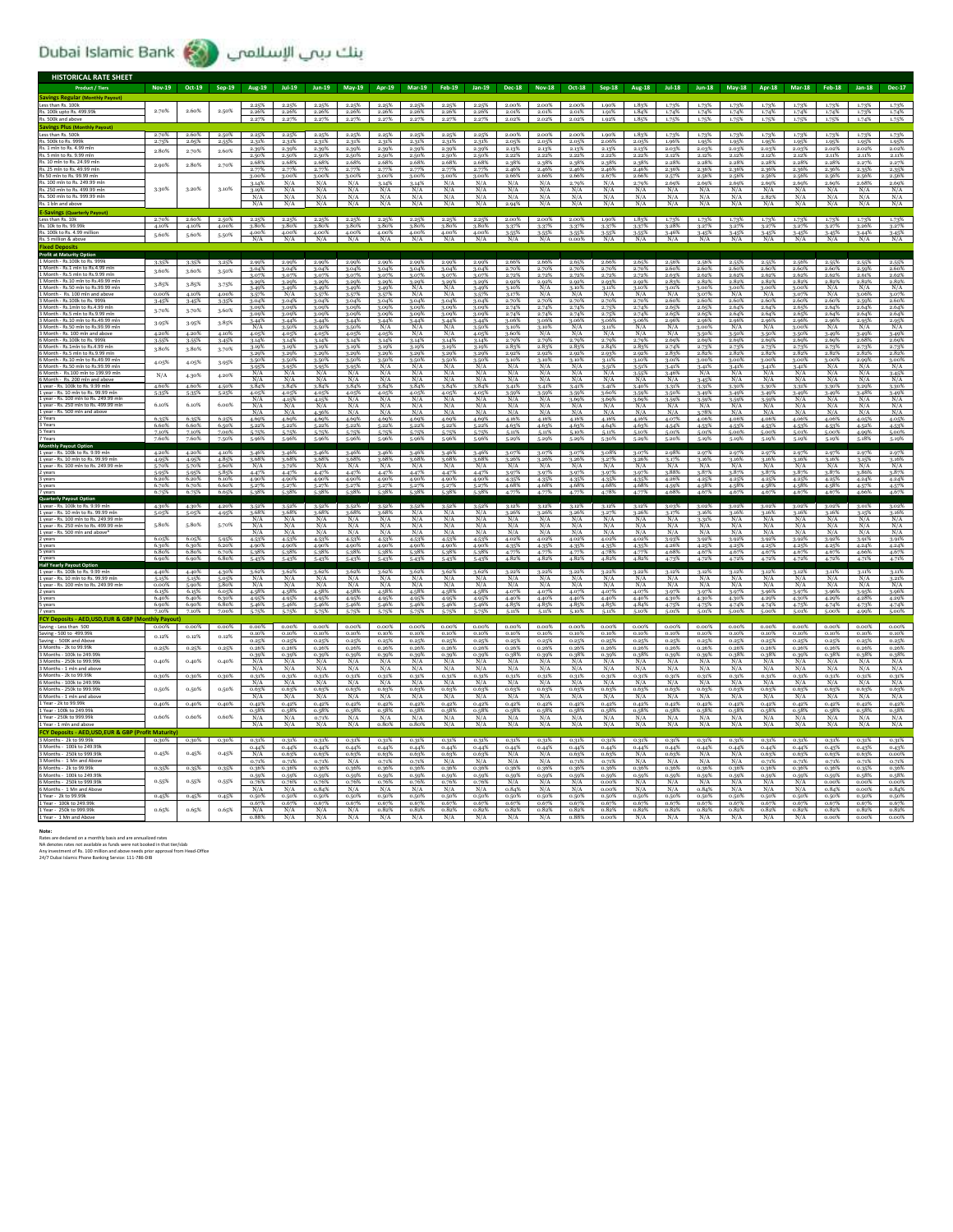## Dubai Islamic Bank (مسلامی الإسلامی)

| <b>HISTORICAL RATE SHEET</b>                                             |                |                |                |                       |                   |                      |                     |                      |                       |                   |                    |                      |                  |                   |                   |                   |                |                        |                |                |                       |                |                      |                      |
|--------------------------------------------------------------------------|----------------|----------------|----------------|-----------------------|-------------------|----------------------|---------------------|----------------------|-----------------------|-------------------|--------------------|----------------------|------------------|-------------------|-------------------|-------------------|----------------|------------------------|----------------|----------------|-----------------------|----------------|----------------------|----------------------|
|                                                                          | Nov-19 Oct-19  |                | Sep-19         | Aug-19                | $Jul-19$          | $lun-19$             | $Mav-19$            | Apr-19               | <b>Mar-19</b>         | Feb-19            | $lan-19$           | <b>Dec-18</b>        | <b>Nov-18</b>    | Oct-18            | Sep-18            | <b>Aug-18</b>     | <b>Jul-18</b>  | $lun-18$               | $Mav-18$       | Apr-18         | Mar-18                | <b>Feb-18</b>  | $Jan-18$             | <b>Dec-17</b>        |
| vines Reeular (M<br>onthly Payd                                          |                |                |                |                       |                   |                      |                     |                      |                       |                   |                    |                      |                  |                   |                   |                   |                |                        |                |                |                       |                |                      |                      |
| Less than Rs. 100k<br>Rs. 100k upto Rs. 499.99k                          | 2.70%          | 2.60%          | 2.50%          | 2.25%<br>2.26%        | 2.25%<br>2.26%    | 2.25%<br>2.26%       | 2.25%<br>2.26%      | 2.25%<br>2.26%       | 2.25%<br>2.26%        | 2.25%<br>2.26%    | 2.25%<br>2.26%     | 2.00%<br>2.01%       | 2.00%<br>2.01%   | 2.00%<br>2.01%    | 1.90%<br>1.91%    | 1.83%<br>1.84%    | 1.73%<br>1.74% | 1.73%<br>1.74%         | 1.73%<br>1.74% | 1.73%<br>1.74% | 1.73%<br>1.74%        | 1.73%<br>1.74% | 1.73%<br>1.73%       | 1.74%                |
| Rs. 500k and above                                                       |                |                |                | 2.27%                 |                   | 2.27%                |                     |                      |                       | 2.27%             |                    | 2.02%                | 2.02%            | 2.02%             | 1.92%             | 1.85%             | 1.75%          | 1.75%                  | 1.75%          | 1.75%          |                       | 1.75%          | 1.74%                |                      |
| <b>ivings Pl</b>                                                         |                |                |                |                       |                   |                      |                     |                      |                       |                   |                    |                      |                  |                   |                   |                   |                |                        |                |                |                       |                |                      |                      |
| Less than Rs. 500k<br>Rs. 500k to Rs. 999k                               | 2.70%<br>2.75% | 2.60%<br>2.65% | 2.50%<br>2.55% | 2.25%<br>2.31%        | 2.25%<br>2.31%    | 2.25%<br>2.31%       | 2.25%<br>2.31%      | 2.25%<br>2.31%       | 2.25%<br>2.31%        | 2.25%<br>2.31%    | 2.25%<br>2.31%     | 2.00%<br>2.05%       | 2.00%<br>2.05%   | 2.00%<br>2.05%    | 1.90%<br>2.06%    | 1.83%<br>2.05%    | 1.73%<br>1.96% | 1.73%<br>1.95%         | 1.73%<br>1.95% | 1.73%<br>1.95% | 1.73%<br>1.95%        | 1.73%<br>1.95% | 1.73%<br>1.95%       | 1.73%<br>1.95%       |
| Rs. 1 mln to Rs. 4.99 mln                                                | 2.80%          | 2.70%          | 2.60%          | 2.39%                 | 2.39%             | 2.39%                | 2.39%               | 2.39%                | 2.39%                 | 2.39%             | 2.39%              | 2.13%                | 2.13%            | 2.13%             | 2.13%             | 2.13%             | 2.03%          | 2.03%                  | 2.03%          | 2.03%          | 2.03%                 | 2.02%          | 2.02%                | 2.02%                |
| .5 mln to Rs. 9.99 mln<br>Rs 10 mln to Rs 24 99 ml                       |                |                |                | 2.50%                 | 2.50%             | 2.50%                | 2.50%               | 2.50%                | 2.50%                 | 2.50%             | 2.50%              | 2.22%                | 2.22%            | 2.22%             | 2.22%             | 2.22%             | 2.12%          | 2.12%                  | 2.12%          | 2.12%          | 2.12%                 | 2.11%          | 2.11%                | 2.11%                |
| Rs. 25 mln to Rs. 49.99 mln                                              | 2.90%          | 2.80%          | 2.70%          | 2.68%<br>2.77%        | 2.68%<br>2.77%    | 2.68%<br>2.77%       | 2.68%<br>2.77%      | 2.68%<br>2.77%       | 2.68%<br>2.77%        | 2.68%<br>2.77%    | 2.689<br>2.77%     | 2.38%<br>2.46%       | 2.38%<br>2.46%   | 2.38%<br>2.46%    | 2.38%<br>2.46%    | 2.38%<br>2.46%    | 2.28%<br>2.36% | 2.289<br>2.36%         | 2.28%<br>2.36% | 2.28%<br>2.36% | 2.28%<br>2.36%        | 2.28%<br>2.36% | 2.27%<br>2.35%       | 2.27%<br>2.35%       |
| Rs 50 mln to Rs. 99.99 mln                                               |                |                |                | 3.00%                 | 3.00%             | 3.00%                | 3.00%               | 3.00%                | 3.00%                 | 3.00%             | 3.00%              | 2.66%                | 2.66%            | 2.66%             | 2.67%             | 2.66%             | 2.57%          | 2.56%                  | 2.56%          | 2.56%          | 2.56%                 | 2.56%          | 2.56%                | 2.56%                |
| . 100 mln to Rs. 249.99 m<br>.250 mln to Rs. 499.99 ml                   |                | 3.20%          | 3.10%          | 3.14%<br>3.19%        | N/A<br>N/A        | N/A                  | N/A                 | 3.14%<br>N/A         | 3.14%<br>N/A          | N/A<br>N/A        | N/A<br>N/A         | N/A<br>N/A           | N/A              | 2.79%             | N/A<br>N/A        | 2.79%             | 2.69%<br>N/A   | 2.69%<br>N/A           | 2.69%<br>N/A   | 2.69%<br>N/A   | 2.69%<br>N/A          | 2.69%<br>N/A   | 2.68%                | 2.69%                |
| Rs. 500 mln to Rs. 999                                                   | 3.30%          |                |                | N/A                   | N/A               | N/A<br>N/A           | N/A<br>N/A          | N/A                  | N/A                   | N/A               | N/A                | N/A                  | N/A<br>N/A       | N/A<br>N/A        | N/A               | N/A<br>N/A        | N/A            | N/A                    | N/A            | 2.82%          | N/A                   | N/A            | N/A<br>N/A           | N/A<br>N/A           |
| .1 bln and abow                                                          |                |                |                | N/A                   | N/A               | N/A                  | N/A                 | N/A                  | N/A                   | N/A               | N/A                | 2.94%                | N/A              | N/A               | N/A               | N/A               | N/A            | N/A                    | N/A            | N/A            | N/A                   | N/A            | N/A                  | N/A                  |
| avings (Quarte                                                           |                |                |                |                       |                   |                      |                     |                      |                       |                   |                    |                      |                  |                   |                   |                   |                |                        |                |                |                       |                |                      |                      |
| ss than Rs 108<br>Rs. 10k to Rs. 99.99                                   | 2.70%<br>4.10% | 2.60%<br>4.10% | 2.50%<br>4.00% | 2.25%<br>3.80%        | 2.25%<br>3.80%    | 2.25%<br>3.80%       | 2.25%<br>3.80%      | 2.25%<br>3.80%       | 2.25%<br>3.80%        | 2.25%<br>3.80%    | 2.25%<br>3.80%     | 2.00%<br>3.37%       | 2.00%<br>3.37%   | 2.00%<br>3-37%    | 1.90%<br>3.37%    | 1.83%<br>3.37%    | 1.73%<br>3.28% | 1.73%<br>3.27%         | 1.73%<br>3.27% | 1.73%<br>3.27% | 1.73%<br>3.27%        | 1.73%<br>3.27% | 1.73%<br>3.26%       | 1.73%<br>3.27%       |
| . 100k to Rs. 4.99 million                                               | 5.60%          | 5.60%          | 5.50%          | 4.00%                 | 4.00%             | 4.00%                | 4.00%               | 4.00%                | 4.00%                 | 4.00%             | 4.00%              | $3-55%$              | $3.55\%$         | 3.55%             | 3.55%             | $3.55\%$          | 3.46%          | 3.45%                  | 3.45%          | 3.45%          | 3.45%                 | 3.45%          | 3.44%                | 3.45%                |
|                                                                          |                |                |                | N/A                   |                   |                      |                     |                      | N/A                   |                   |                    | N/A                  | N/A              |                   |                   | N/A               |                |                        |                |                |                       |                | N/A                  |                      |
| <b>Profit at Maturity Opt</b>                                            |                |                |                |                       |                   |                      |                     |                      |                       |                   |                    |                      |                  |                   |                   |                   |                |                        |                |                |                       |                |                      |                      |
|                                                                          | 3.35%          | 3-35%          | 3.25%          | 2.99%                 |                   |                      | 2.99%               | 2.99%                |                       |                   |                    |                      |                  | 2.65%             | 2.66%             |                   | 2.56%          | 2.56%                  |                |                | 2.56%                 |                |                      |                      |
| Month - Rs.1 mln to Rs.4.99 mln<br>Month - Rs.5 mln to Rs.9.99 n         | 3.60%          | 3.60%          | 3-50%          | 3.04%                 | 3.04%             | 3.04%                | 3.04%               | 3.04%                | 3.04%                 | 3.04%             | 3.04%              | 2.70%                | 2.70%            | 2.70%             | 2.70%             | 2.70%             | 2.60%          | 2.60%                  | 2.60%          | 2.60%          | 2.60%                 | 2.60%          | 2.59%                | 2.60%                |
| Month - Rs.10 mln to Rs.49.99 ml                                         | 3.85%          | 3.85%          |                | 3.07%<br>3.29%        | 3.07%<br>3.29%    | 3.07%<br>3.29%       | 3.07%<br>3.29%      | 3.07%<br>3.29%       | 3.07%<br>3.29%        | 3.07%<br>3.29%    | 3.07%<br>3.29%     | 2.72%<br>2.92%       | 2.72%<br>2.92%   | 2.72%<br>2.92%    | 2.72%<br>2.93%    | 2.72%<br>2.92%    | 2.63%<br>2.83% | 2.62%<br>282%          | 2.62%<br>2.82% | 2.62%<br>2.82% | 2.62%<br>2.82%        | 2.62%<br>2.82% | 2.61%<br>2.82%       | 2.62%                |
| Month - Rs.50 mln to Rs.99.99 mln                                        |                |                | 3.75%          | 3.49%                 | 3.49%             | 3.49%                | 3.49%               | 3.49%                | N/A                   | N/A               | 3.49%              | 3.10%                | N/A              | 3.10%             | 3.11%             | 3.10%             | 3.01%          | 3.00%                  | 3.00%          | 3.00%          | 3.00%                 | N/A            | N/A                  | $\frac{2.82\%}{N/A}$ |
| Aonth - Rs 100 mln and al<br>Month - Rs.100k to Rs. 9991                 | 0.00%<br>3.45% | 4.10%<br>3.45% | 4.00%<br>3-35% | $3 - 57%$<br>3.04%    | N/A<br>3.04%      | 3.57%<br>3.04%       | 3-57%<br>3.04%      | $3 - 579$<br>3.04%   | N/A<br>3.04%          | N/A<br>3.04%      | $3 - 579$<br>3.04% | 3.17%<br>2.70%       | N/A<br>2.70%     | N/A<br>2.70%      | N/A<br>2.70%      | N/A<br>2.70%      | N/A<br>2.60%   | 3.079<br>2.60%         | N/A<br>2.60%   | N/A<br>2.60%   | 3.07%<br>2.60%        | N/A<br>2.60%   | 3.06%<br>2.59%       | 3.07%<br>2.60%       |
| Aonth - Rs.1mln to Rs.4.99                                               | 3.70%          | 3.70%          | 3.60%          | 3.09%                 | 3.09%             | 3.09%                | 3.09%               | 3.09%                | 3.09%                 | 3.09%             | 3.09%              | 2.74%                | 2.74%            | 2.74%             | 2.75%             | 2.74%             | 2.65%          | 2.65%                  | 2.64%          | 2.64%          | 2.65%                 | 2.64%          | 2.64%                | 2.64%                |
| Month - Rs.5 mln to Rs.9.99 ml<br>Month - Rs.10 mln to Rs.49.99 ml       |                |                |                | 3.44%                 | 3.09%<br>3.44%    | 3.09%<br>3.44%       | 3.09%<br>3-44%      | 3.09%<br>3.44%       | 3.09%<br>3.44%        | 3.09%<br>3.44%    | 3.099<br>3.44%     | 3.06%                | 2.74%<br>3.06%   | 2.74%<br>3.06%    | 3.06%             | 2.74%<br>3.06%    | 2.65%<br>2.96% | 2.659<br>2.96%         | 2.64%<br>2.96% | 2.64%<br>2.96% | 2.65%<br>2.96%        | 2.64%<br>2.96% | 2.64%<br>2.95%       | 2.64%<br>2.95%       |
|                                                                          | 3.95%          | 3.95%          | 3.85%          | N/2                   | 3.50%             | 3.50%                | 3.50%               | N/A                  |                       |                   | 3.50 <sup>9</sup>  | 3.10%                | 3.10%            |                   | 3.11%             | N/A               |                | 3.009                  | N/A            | N/A            | 3.009                 | N/A            | N/A                  | N/A                  |
| Month - Rs. 100 mln and ah                                               | 4.20%          | 4.20%          | 4.10%          | 4.05%                 | 4.05%             | 4.05%                | 4.05%               | 4.05%                | N/A                   | N/A               | 4.059              | 3.60%                | N/A              | N/A               | N/A               | N/A               | N/A            | 3.50%                  | 3.50%          | 3.50%          | 3.50%                 | 3-49%          | 3.49%                | 3.49%                |
| Annth - De 1 min to De A 00 mi                                           | 3-55%<br>3.80% | 3.55%<br>3.80% | 3.45%<br>3.70% | 3.14%<br>3.199        | 3.14%<br>3.199    | 3.14%<br>3.19%       | 3.14%<br>3.19%      | 3.14%<br>3.199       | 3.14%<br>3.19%        | 3.14%<br>3.19%    | 3.14%<br>3.199     | 2.79%<br>2.83%       | 2.79%<br>2.83%   | 2.79%<br>2.83%    | 2.79%<br>2.84%    | 2.79%<br>2.83%    | 2.69%<br>2.74% | 2.69%                  | 2.69%          | 2.69%<br>2.73% | 2.69%                 | 2.69%          | 2.68%<br>2.73%       | 2.69%                |
| 5 Month - Rs.5 mln to Rs.9.99 mln                                        |                |                |                | 3.29%                 | 3.29%             | 3.29%                | 3.29%               | 3.29%                | 3.29%                 | 3.29%             | 3.29%              | 2.92%                | 2.92%            | 2.92%             | 2.93%             | 2.92%             | 2.83%          | 2.82%                  | 2.82%          | 2.82%          | 2.82%                 | 2.82%          | 2.82%                | 2.82%                |
| Month - Rs.10 mln to Rs.49.99 m                                          | 4.05%          | 4.05%          | 3.95%          | 3.50%<br>3.95%        | 3.50%<br>3.95%    | 3.50%<br>3.95%       | 3.50%<br>3.95%      | 3.50%<br>N/A         | $\frac{3.50\%}{N/A}$  | 3.50%<br>N/A      | 3.509<br>N/A       | 3.10%<br>N/A         | 3.10%<br>N/A     | 3.10%<br>N/A      | 3.11%<br>3.51%    | 3.10%<br>3.51%    | 3.01%<br>3.41% | 3.00%<br>3.41%         | 3.00%<br>3.41% | 3.00%<br>3.41% | 3.00%<br>3.41%        | 3.00%<br>N/A   | $\frac{2.99\%}{N/A}$ | 3.00%<br>N/A         |
| Rs.100 mln to 199.99 n                                                   | N/A            | 4.30%          | 4.20%          | N/A                   | N/A               | N/A                  | N/A                 | N/A                  | N/A                   | N/A               | N/A                | N/A                  | N/A              | N/A               | N/A               | 3.55%             | 3.46%          | N/A                    | N/A            | N/A            | N/A                   | N/A            | N/A                  | $\frac{3.45\%}{N/A}$ |
| L vear - Rs. 100k to Rs. 9.99 ml                                         | 4.60%          | 4.60%          | 4.50%          | N/A<br>3.84%          | N/A<br>3.84%      | N/A<br>3.84%         | N/A<br>3-84%        | N/A<br>3.849         | N/A<br>3.84%          | N/A<br>3.84%      | N/A<br>3.849       | N/A<br>3.41%         | N/A<br>3.41%     | N/A<br>3.41%      | N/A<br>3.41%      | N/A<br>3.40%      | N/A<br>3-31%   | 3.45%<br>3.31%         | N/A<br>3.30%   | N/A<br>3.30%   | N/A<br>3.31%          | N/A<br>3.30%   | N/A<br>3.29%         | 3.30%                |
| year - Rs. 10 mln to Rs. 99.99 ml                                        | 5-35%          | 5-35%          | 5-25%          | 4.05%                 | 4.05%             | 4.05%                | 4.05%               | 4.05%                | 4.05%                 | 4.05%             | 4.059              | $\frac{3.59\%}{N/A}$ | 3.59%            | 3.59%             | 3.60%             | 3.59%             | 3.50%          | 3.49%                  | 3.49%          | 3.49%          | 3.49%                 | 3-49%          | 3.48%                |                      |
| ear - Rs. 100 mln to Rs. 249.99 ml                                       | 6.10%          | 6.10%          | 6.00%          | N/A                   |                   | 4.15%                | N/A                 | N/A                  | N/A                   | N/A               | N/A                |                      | N/A              | 3.69%             | 3.69%             | 3.69%             | 3.59%          | 3.599                  |                | 3-59%          | $\overline{N}/A$      | N/A            | N/A                  | $\frac{3.49\%}{N/A}$ |
| Lyear - Rs. 250 mln to Rs. 499.99 ml                                     |                |                |                | N/A<br>N/A            | N/A<br>N/A        | N/A<br>4.36%         | N/A<br>N/A          | N/A<br>N/A           | N/A<br>N/A            | N/A<br>N/A        | N/A<br>N/A         | N/A<br>N/A           | N/A<br>N/A       | N/A<br>N/A        | N/A<br>N/A        | N/A<br>N/A        | N/A<br>N/A     | N/A<br>3.789           | N/A<br>N/A     | N/A<br>N/A     | N/A<br>N/A            | N/A<br>N/A     | N/A<br>N/A           | N/A<br>N/A           |
| 2 Years                                                                  | 6.35%          | 6.35%          | 6.25%          | 4.69%                 | 4.69%             | 4.69%                | 4.69%               | 4.69%                | 4.69%                 | 4.69%             | 4.699              | 4.16%                | 4.16%            | 4.16%             | 4.16%             | 4.16%             | 4.07%          | 4.06%                  | 4.06%          | 4.06%          | 4.06%                 | 4.06%          | 4.05%                | 4.05%                |
| 3 Years<br>5 Years                                                       | 6.60%<br>7.10% | 6.60%<br>7.10% | 6.50%<br>7.00% | 5.22%<br>5.75%        | 5.22%<br>5-75%    | 5.22%<br>5.75%       | $5.22\%$<br>5.75%   | 5.22%<br>5-75%       | 5.22%<br>5-75%        | 5.22%<br>5.75%    | 5.22%<br>5-75%     | 4.63%<br>5.11%       | 4.63%<br>5.11%   | 4.63%<br>5.10%    | 4.64%<br>5.11%    | 4.63%<br>5.10%    | 4.54%<br>5.01% | 4.53%<br>5.01%         | 4.53%<br>5.00% | 4-53%<br>5.00% | 4.53%<br>5.01%        | 4.53%<br>5.00% | 4.52%<br>4.99%       | 4.53%<br>5.00%       |
| 7 Years                                                                  | 7.60%          | $=60%$         | 7.50%          | 5.96%                 | 5.96%             | 5.96%                |                     |                      |                       |                   | 5.96%              |                      |                  | 5.29%             | 5.30%             | 5.29%             | 5.20%          | 5.10%                  | 5.10%          | 5.19%          |                       | 5.10%          | 5.18%                | 5.19%                |
|                                                                          |                |                |                |                       |                   |                      | 5.96%               | 5.96%                | 5.96%                 | $5.96\%$          |                    | 5.29%                | 5.29%            |                   |                   |                   |                |                        |                |                | 5.19%                 |                |                      |                      |
| Monthly Payo                                                             |                |                |                |                       |                   |                      |                     |                      |                       |                   |                    |                      |                  |                   |                   |                   |                |                        |                |                |                       |                |                      |                      |
| 1 year - Rs. 100k to Rs. 9.99 mln                                        | $4.20\%$       | 4.20%          | $4.10\%$       | 3.46%                 | 3.46%             | 3.46%                | 3.46%               | 3.46%                | 3.46%                 | 3.46%             | 3.46%              | 3.07%                | 3.07%            | 3.07%             | 3.08%             | 3.07%             | 2.98%          | 2.97%                  | 2.97%          | 2.97%          | 2.97%                 | 2.97%          | 2.97%                | 2.97%                |
| 1 year - Rs. 10 mln to Rs. 99.99 r<br>rear - Rs. 100 mln to Rs. 249.99 m | 4.95%<br>5.70% | 4.95%<br>5-70% | 4.85%<br>5.60% | 3.68%<br>N/A          | 3.68%<br>3.72%    | 3.68%<br>N/A         | 3.68%<br>N/A        | 3.68%<br>N/A         | 3.68%<br>N/A          | 3.68%<br>N/A      | 3.68%<br>N/A       | 3.26%<br>N/A         | 3.26%<br>N/A     | 3.26%<br>N/A      | 3.27%<br>N/A      | 3.265<br>N/A      | 3.17%<br>N/A   | 3.169<br>N/A           | 3.16%<br>N/A   | 3.16%<br>N/A   | 3.16%<br>N/A          | 3.16%<br>N/A   | 3.15%<br>N/A         | 3.16%<br>N/A         |
| 2 years                                                                  | 5.95%          | 5.95%          | 5.85%          | 4.47%                 | 4.47%             | 4.47%                | 4.47%               | 4.47%                | 4.47%                 | 4.47%             | 4.47%              | 3.97%                | 3.97%            | 3.97%             | 3.97%             | 3.97%             | 3.88%          | 3.87%                  | 3.87%          | 3.87%          | 3.87%                 | 3.87%          | 3.86%                | 3.87%                |
| years                                                                    | 6.20%<br>6.70% | 6.20%          | 6.10%<br>6.60% | 4.90%                 | 4.90%             | 4.90%                | 4.90%               | 4.90%                | 4.90%                 | 4.90%             | 4.90%              | 4.35%                | 4.35%            | 4.35%             | 4.35%             | 4.35%             | 4.26%          | 4.25%                  | 4.25%          | 4.25%          | 4.25%                 | 4.25%          | 4.24%                | 4.24%                |
|                                                                          | 6.75%          | 6.70%<br>6.75% | 6.65%          | 5.27%<br>5.38%        | 5.27%<br>5.38%    | 5.27%<br>5.38%       | 5.27%<br>5.38%      | 5.27%                | 5.27%<br>5.38%        | 5.27%<br>5.38%    | 5.27%              | 4.68%                | 4.68%            | 4.68%             | 4.68%<br>4.78%    | 4.68%             | 4.59%<br>4.68% | 4.58%<br>4.67%         | 4.58%<br>4.67% | 4.58%<br>4.67% | 4.58%<br>4.67%        | 4.58%<br>4.67% | 4.57%<br>4.66%       | 4.57%<br>4.67%       |
| Quarterly Payout Op                                                      |                |                |                |                       |                   |                      |                     |                      |                       |                   |                    |                      |                  |                   |                   |                   |                |                        |                |                |                       |                |                      |                      |
| Lyear - Rs. 10 mln to Rs. 99.99 mln                                      | 4.30%<br>5.05% | 4.30%<br>5.05% | 4.20%<br>4.95% | 3.52%<br>3.68%        | 3.52%<br>3.68%    | 3.52%<br>3.68%       | 3.52%<br>3.68%      | 3.52%<br>3.68%       | 3.52%<br>N/A          | 3.52%<br>N/A      | 3.52%<br>N/A       | 3.12%<br>3.26%       | 3.12%<br>3.26%   | 3.12%<br>3.26%    | 3.12%<br>3.27%    | 3.12%<br>3.26%    | 3.03%<br>3.17% | 3.02%<br>3.16%         | 3.02%<br>3.16% | 3.02%<br>3.16% | 3.02%<br>3.16%        | 3.02%<br>3.16% | 3.01%<br>3.15%       | 3.02%<br>3.16%       |
| year - Rs. 100 mln to Rs. 249.99 m                                       |                |                |                | N/A                   | N/A               | N/A                  | N/A                 | N/A                  | N/A                   |                   | N/A                | N/A                  | N/A              | N/A               | N/A               | N/A               | N/A            | 3.31%                  | N/A            | N/A            | N/A                   | N/A            | N/A                  | N/A                  |
| rear - Rs. 250 mln to Rs. 499.99 ml<br>vear - Rs. 500 mln and above      | 5.80%          | 5.80%          | 5.70%          | N/A<br>N/A            | N/A<br>N/A        | N/A<br>N/A           | N/A<br>N/A          | N/A<br>N/A           | N/A<br>N/A            | N/A<br>N/A        | N/A<br>N/A         | N/A<br>N/A           | N/A<br>N/A       | N/A<br>N/A        | N/A<br>N/A        | N/A<br>N/A        | N/A<br>N/A     | N/A                    | N/A<br>N/A     | N/A<br>N/A     | N/A<br>N/A            | N/A<br>N/A     | N/A<br>N/A           | N/A<br>N/A           |
|                                                                          | 6.05%          | 6.05%          | 5.95%          | 4.53%                 | 4.53%             | 4.53%                | 4.53%               | 4.539                | 4.53%                 | 4.53%             | 4.53%              | 4.02%                | 4.02%            | 4.02%             | 4.02%             | 4.02%             | 3.93%          | 3.92%                  | 3.92%          | 3.92%          | 3.92%                 | 3.92%          | 3.91%                | 3.91%                |
| years                                                                    | 6.30%          | 6.30%<br>6.80% | 6.20%<br>6.70% | 4.90%                 | 4.90%             | 4.90%<br>5-38%       | 4.90%<br>5.38%      | 4.90%                | 4.90%<br>5.38%        | 4.90%             | 4.90%              | 4.35%<br>4.77%       | 4.35%<br>4.77%   | 4.35%<br>4.77%    | 4.35%<br>4.78%    | 4.35%<br>4.77%    | 4.26%<br>4.68% | 4.25%<br>4.67%         | 4.25%<br>4.67% | 4.25%<br>4.67% | 4.25%<br>4.67%        | 4.25%<br>4.67% | 4.24%<br>4.66%       | 4.24%<br>4.67%       |
|                                                                          | 6.80%<br>6.90% | 6.90%          | 6.80%          | 5.38%<br>5.42%        | 5.38%<br>5.42%    | 5.43%                | 5.42%               | 5.38%<br>5.42%       | 5.42%                 | 5.38%<br>5.43%    | 5.38%<br>5.42%     | A82%                 | 182%             | 482%              | 182%              | 182%              | 4.72%          | $4.729$ <sup>0</sup> 6 | 172%           | 4.72%          | 172%                  | 4.72%          | 471%                 | 4.71%                |
| Half Yearly                                                              |                |                |                |                       |                   |                      |                     |                      |                       |                   |                    |                      |                  |                   |                   |                   |                |                        |                |                |                       |                |                      |                      |
| 1 year - Rs. 100k to Rs. 9.99 mln<br>year - Rs. 10 mln to Rs. 99.99 mln  | 4.40%<br>5.15% | 4.40%<br>5.15% | 4.30%<br>5.05% | 3.62%<br>N/A          | 3.62%<br>N/A      | 3.62%<br>N/A         | 3.62%<br>N/A        | 3.62%<br>N/A         | 3.62%<br>N/A          | 3.62%<br>N/A      | 3.62%<br>N/A       | $3.22\%$<br>N/A      | 3.22%<br>N/A     | $3.22\%$<br>N/A   | $3.22\%$<br>N/A   | 3.22%<br>N/A      | 3.12%<br>N/A   | 3.12%<br>N/A           | 3.12%<br>N/A   | 3.12%<br>N/A   | 3.12%<br>N/A          | 3.11%<br>N/A   | 3.11%<br>N/A         | 3.11%<br>3.21%       |
| L vear - Rs. 100 mln to Rs. 249.99 ml                                    | 0.00%          | 5.90%          | 5.80%          | N/A                   | N/A               | N/A                  | N/A                 | N/A                  | N/A                   | N/A               | N/A                | N/A                  | N/A              | N/A               | N/A               | N/A               | N/A            | N/A                    | N/A            | N/A            | N/A                   | N/A            | N/A                  | N/A                  |
| years                                                                    | 6.15%<br>6.40% | 6.15%<br>6.40% | 6.05%<br>6.30% | 4.58%<br>4.95%        | 4.58%<br>4.95%    | 4.58%<br>4.95%       | 4.58%<br>4.95%      | 4.58%<br>4.95%       | 4.58%<br>4.95%        | 4.58%<br>4.95%    | 4.58%<br>4.95%     | 4.07%<br>4.40%       | 4.07%<br>4.40%   | 4.07%             | 4.07%             | 4.07%<br>4.40%    | 3.97%<br>4.30% | 3.97%<br>4.30%         | 3.97%<br>4.30% | 3.96%<br>4.29% | 3.97%<br>4.30%        | 3.96%<br>4.29% | 3.95%<br>4.28%       | 3.96%                |
| 5 years                                                                  | 6.90%          | 6.90%          | 6.80%          | 5.46%                 | 5.46%             | 5.46%                | 5.46%               | 5.46%                | 5.46%                 | 5.46%             | 5.46%              | 4.85%                | 4.85%            | 4.40%<br>4.85%    | 4.40%<br>4.85%    | 4.84%             | 4.75%          | 4.75%                  | 4.74%          | 4.74%          | 4.75%                 | 4.74%          | 4.73%                | 4.29%<br>4.74%       |
|                                                                          | 7.10%          | 7.10%          | 7.00%          | 5-75%                 | 5-75%             |                      |                     |                      |                       |                   |                    |                      |                  |                   | 5.11%             |                   |                |                        | 5.009          |                | 5.019                 |                | 4.999                | 5.00%                |
| <b>FCY Depos</b>                                                         | ly Payo        |                |                |                       |                   |                      |                     |                      |                       |                   |                    |                      |                  |                   |                   |                   |                |                        |                |                |                       |                |                      |                      |
| Saving - Less than 500<br>Saving - 500 to 499.99k                        | $0.00\%$       | $0.00\%$       | $0.00\%$       | $0.00\%$<br>0.10%     | $0.00\%$<br>0.10% | $0.00\%$<br>0.10%    | $0.00\%$<br>0.10%   | 0.00%<br>0.10%       | $0.00\%$<br>0.10%     | $0.00\%$<br>0.10% | 0.00%<br>0.10%     | 0.00%<br>0.10%       | 0.00%<br>0.10%   | $0.00\%$<br>0.10% | $0.00\%$<br>0.10% | $0.00\%$<br>0.10% | 0.00%<br>0.10% | $0.00\%$<br>0.10%      | 0.00%<br>0.10% | 0.00%<br>0.10% | 0.00%<br>0.10%        | 0.00%<br>0.10% | $0.00\%$<br>0.10%    | 0.00%<br>0.10%       |
| Saving - 500K and Above                                                  | 0.12%          | 0.12%          | 0.12%          | 0.25%                 | 0.25%             | 0.25%                | 0.25%               | 0.25%                | 0.25%                 | 0.25%             | 0.25%              | 0.25%                | 0.25%            | 0.25%             | 0.25%             | 0.25%             | 0.25%          | 0.25%                  | 0.25%          | 0.25%          | 0.25%                 | 0.25%          | 0.25%                | 0.25%                |
| 3 Months - 2k to 99.99k                                                  | 0.25%          | 0.25%          | 0.25%          | 0.26%                 | 0.26%             | 0.26%                | 0.26%               | 0.26%                | 0.26%                 | 0.26%             | 0.26%              | 0.26%                | 0.26%            | 0.26%             | 0.26%             | 0.26%             | 0.26%          | 0.26%                  | 0.26%          | 0.26%          | 0.26%                 | 0.26%          | 0.26%                | 0.26%                |
| 3 Months - 100k to 249.99<br>3 Months - 250k to 999.99                   | 0.40%          | 0.40%          | 0.40%          | 0.39%<br>N/A          | 0.39%<br>N/A      | $\frac{0.39\%}{N/A}$ | 0.39%<br>N/A        | $\frac{0.39\%}{N/A}$ | $\frac{0.39\%}{N/A}$  | 0.39%<br>N/A      | 0.39%<br>N/A       | 0.38%<br>N/A         | $0.39%$<br>$N/A$ | 0.38%<br>N/A      | $0.39\%$ N/A      | 0.38%<br>N/A      | 0.39%<br>N/A   | 0.39%<br>N/A           | 0.38%<br>N/A   | 0.38%<br>N/A   | 0.39%<br>N/A          | 0.38%<br>N/A   | 0.38%<br>N/A         | $0.38\%$ N/A         |
| 3 Months - 1 mln and abor                                                |                |                |                | N/A                   | N/A               | N/A                  | N/A                 | N/A                  | N/A                   | N/A               | N/A                | N/A                  | N/A              | N/A               | N/A               | N/A               | N/A            | N/A                    | N/A            | N/A            | N/A                   | N/A            | N/A                  | N/A                  |
| 6 Months - 2k to 99.99<br>6 Months - 100k to 249.99                      | 0.30%          | 0.30%          | 0.30%          | 0.31%                 | 0.31%             | 0.31%                | 0.31%               | 0.31%                | 0.31%                 | 0.31%             | 0.31%              | 0.31%                | 0.31%            | 0.31%             | 0.31%             | 0.31%             | 0.31%          | 0.319                  | 0.31%          | 0.31%          | 0.31%                 | 0.31%          | 0.31%                | 0.31%                |
| 6 Months - 250k to 999.99                                                | 0.50%          | 0.50%          | 0.50%          | N/A<br>0.63%          | N/A<br>0.63%      | N/A<br>0.63%         | N/A<br>0.63%        | N/A<br>0.63%         | N/A<br>0.63%          | N/A<br>0.63%      | N/A<br>0.63%       | N/A<br>0.63%         | N/A<br>0.63%     | N/A<br>0.63%      | N/A<br>0.63%      | N/A<br>0.63%      | N/A<br>0.63%   | N/A<br>0.63%           | N/A<br>0.63%   | N/A<br>0.63%   | N/A<br>0.63%          | N/A<br>0.63%   | N/A<br>0.63%         | N/A<br>0.63%         |
| 6 Months - 1 mln and abov                                                |                |                |                | N/A                   | N/A               | N/A                  | N/A                 | N/A                  | N/A                   | N/A               | N/A                | N/A                  | N/A              | N/A               | N/A               | N/A               | N/A            | N/A                    | N/A            | N/A            | N/A                   | N/A            | N/A                  | N/A                  |
|                                                                          | 0.40%          | 0.40%          | 0.40%          | 0.42%                 | 0.42%             | 0.42%                | 0.42%               | 0.42%                | 0.42%                 | 0.42%             | 0.42%              | 0.42%                | 0.42%            | 0.42%             | 0.42%             | 0.42%             | 0.42%          | 0.42%                  | 0.42%          | 0.42%          | 0.42%                 | 0.42%          | 0.42%                | 0.42%                |
| Year - 100k to 249.99<br>Year - 250k to 999 99k                          | 0.60%          | 0.60%          | 0.60%          | 0.58%<br>N/A          | 0.58%<br>N/A      | 0.58%<br>0.71%       | 0.58%<br>N/A        | 0.58%<br>N/A         | 0.58%<br>N/A          | 0.58%<br>N/A      | 0.58%<br>N/A       | 0.58%<br>N/A         | 0.58%<br>N/A     | 0.58%<br>N/A      | 0.58%<br>N/A      | 0.58%<br>N/A      | 0.58%<br>N/A   | 0.58%<br>N/A           | 0.58%<br>N/A   | 0.58%<br>N/A   | 0.58%<br>N/A          | 0.58%<br>N/A   | 0.58%<br>N/A         | 0.58%<br>N/A         |
| Year - 1 mln and ah                                                      |                |                |                | N/A                   | N/A               | $N/\Delta$           | N/A                 | 0.80%                | 0.80%                 | N/A               | N/A                | N/A                  | N/A              | N/A               | N/A               | N/A               | N/A            | N/A                    | N/A            | N/A            | N/A                   | N/A            | N/A                  | N/A                  |
|                                                                          | fit Maturit    |                |                |                       |                   |                      |                     |                      |                       |                   |                    |                      |                  |                   |                   |                   |                |                        |                |                |                       |                |                      |                      |
| 3 Months - 2k to 99 99<br>3 Months - 100k to 249.99                      | 0.30%          | 0.30%          | 0.30%          | 0.31%<br>0.44%        | 0.31%<br>0.44%    | 0.31%                | 0.31%               | 0.31%<br>0.44%       | 0.31%                 | 0.31%             | 0.31%<br>0.44%     | 0.31%<br>0.44%       | 0.31%            | 0.31%<br>0.44%    | 0.31%<br>0.44%    | 0.31%             | 0.31%          | 0.31%<br>0.44%         | 0.31%          | 0.31%          | 0.31%<br>0.44%        | 0.31%          | 0.31%                | 0.31%                |
| 3 Months - 250k to 999.99                                                | 0.45%          | 0.45%          | 0.45%          | N/A                   | 0.63%             | 0.44%<br>0.63%       | 0.44%<br>0.63%      | 0.63%                | 0.44%<br>0.63%        | 0.44%<br>0.63%    | 0.63%              | N/A                  | 0.44%<br>N/A     | 0.63%             | 0.63%             | 0.44%<br>N/A      | 0.44%<br>0.63% | N/A                    | 0.44%<br>N/A   | 0.44%<br>0.63% | 0.63%                 | 0.43%<br>0.63% | 0.43%<br>0.63%       | 0.43%<br>0.00%       |
| 3 Months - 1 Mn and Abo                                                  |                |                |                | 0.71%                 | 0.71%             | 0.71%                | N/A                 | 0.71%                | 0.71%                 | N/A               | N/A                | N/A                  | N/A              | 0.71%             | 0.71%             | N/A               | N/A            | N/A                    | N/A            | 0.71%          | 0.71%                 | 0.71%          | 0.71%                | 0.71%                |
| 6 Months - 2k to 99.99<br>6 Months - 100k to 249.                        | 0.35%          | 0.35%          | 0.35%          | 0.36%                 | 0.36%             | 0.36%                | 0.36%               | 0.36%                | 0.36%                 | 0.36%             | 0.36%              | 0.36%                | 0.36%            | 0.36%             | 0.36%             | 0.36%             | 0.36%          | 0.36%                  | 0.36%          | 0.36%          | 0.36%                 | 0.36%          | 0.35%                | 0.36%                |
| 6 Months - 250k to 999.99                                                | 0.55%          | 0.55%          | 0.55%          | 0.59%<br>0.76%        | 0.59%<br>0.76%    | 0.59%<br>0.76%       | 0.59%<br>0.76%      | 0.59%<br>0.76%       | 0.59%<br>0.76%        | 0.59%<br>0.76%    | 0.599<br>0.76%     | 0.59%<br>N/A         | 0.59%<br>N/A     | 0.59%<br>N/A      | 0.59%<br>0.00%    | 0.59%<br>N/A      | 0.59%<br>N/A   | 0.59%<br>N/A           | 0.59%<br>N/A   | 0.59%<br>N/A   | 0.59%<br>N/A          | 0.59%<br>0.00% | 0.58%<br>0.00%       | 0.58%<br>0.00%       |
| 6 Months - 1 Mn and Ahm                                                  |                |                |                | N/A                   | N/A               | 0.84%                | N/A                 | N/A                  | N/A                   | N/A               | N/A                | 0.84%                | N/A              | N/A               | 0.00%             | N/A               | N/A            | 0.84%                  | N/A            | N/A            | N/A                   | 0.84%          | 0.00%                | 0.84%                |
| 1 Year - 2k to 99.99)                                                    | 0.45%          | 0.45%          | 0.45%          | 0.50%                 | 0.50%             | 0.50%                | 0.50%               | 0.50%                | 0.50%                 | 0.50%             | 0.50%              | 0.50%                | 0.50%            | 0.50%             | 0.50%             | 0.50%             | 0.50%          | 0.50%                  | 0.50%          | 0.50%          | 0.50%                 | 0.50%          | 0.50%                | 0.50%                |
| 1 Year - 100k to 249.99<br>1 Year - 250k to 999.99                       | 0.65%          | 0.65%          | 0.65%          | 0.679<br>N/A<br>0.88% | 0.67%<br>N/A      | 0.67%<br>N/A<br>N/A  | 0.679<br>N/A<br>N/2 | 0.679<br>0.82%       | 0.67%<br>0.82%<br>N/A | 0.67%<br>0.82%    | 0.679<br>0.829     | 0.67%<br>0.82%       | 0.67%<br>0.82%   | 0.67%<br>0.82%    | 0.67%<br>0.82%    | 0.67%<br>0.82%    | 0.67%<br>0.82% | 0.679<br>0.82%         | 0.67%<br>0.82% | 0.67%<br>0.82% | 0.67%<br>0.82%<br>N/A | 0.67%<br>0.82% | 0.67%<br>0.82%       | 0.67%<br>0.82%       |

**Note:**<br>Rates are declared on a monthly basis and are annualized rates<br>NA denotes rates not available as funds were not booked in that tier/slab<br>Any investment of Rs. 100 million and above needs prior approval from Head-Of